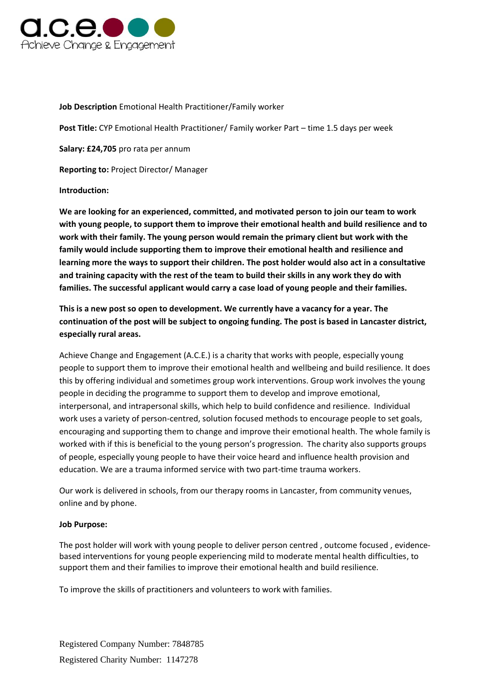

# **Job Description** Emotional Health Practitioner/Family worker

**Post Title:** CYP Emotional Health Practitioner/ Family worker Part – time 1.5 days per week

**Salary: £24,705** pro rata per annum

**Reporting to:** Project Director/ Manager

# **Introduction:**

**We are looking for an experienced, committed, and motivated person to join our team to work with young people, to support them to improve their emotional health and build resilience and to work with their family. The young person would remain the primary client but work with the family would include supporting them to improve their emotional health and resilience and learning more the ways to support their children. The post holder would also act in a consultative and training capacity with the rest of the team to build their skills in any work they do with families. The successful applicant would carry a case load of young people and their families.**

**This is a new post so open to development. We currently have a vacancy for a year. The continuation of the post will be subject to ongoing funding. The post is based in Lancaster district, especially rural areas.**

Achieve Change and Engagement (A.C.E.) is a charity that works with people, especially young people to support them to improve their emotional health and wellbeing and build resilience. It does this by offering individual and sometimes group work interventions. Group work involves the young people in deciding the programme to support them to develop and improve emotional, interpersonal, and intrapersonal skills, which help to build confidence and resilience. Individual work uses a variety of person-centred, solution focused methods to encourage people to set goals, encouraging and supporting them to change and improve their emotional health. The whole family is worked with if this is beneficial to the young person's progression. The charity also supports groups of people, especially young people to have their voice heard and influence health provision and education. We are a trauma informed service with two part-time trauma workers.

Our work is delivered in schools, from our therapy rooms in Lancaster, from community venues, online and by phone.

### **Job Purpose:**

The post holder will work with young people to deliver person centred , outcome focused , evidencebased interventions for young people experiencing mild to moderate mental health difficulties, to support them and their families to improve their emotional health and build resilience.

To improve the skills of practitioners and volunteers to work with families.

Registered Company Number: 7848785 Registered Charity Number: 1147278